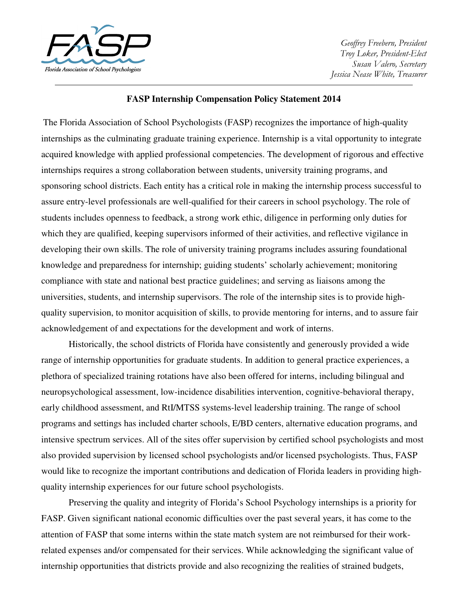

Geoffrey Freebern, President Troy Loker, President-Elect Susan Valero, Secretary Jessica Nease White, Treasurer

### **FASP Internship Compensation Policy Statement 2014**

The Florida Association of School Psychologists (FASP) recognizes the importance of high-quality internships as the culminating graduate training experience. Internship is a vital opportunity to integrate acquired knowledge with applied professional competencies. The development of rigorous and effective internships requires a strong collaboration between students, university training programs, and sponsoring school districts. Each entity has a critical role in making the internship process successful to assure entry-level professionals are well-qualified for their careers in school psychology. The role of students includes openness to feedback, a strong work ethic, diligence in performing only duties for which they are qualified, keeping supervisors informed of their activities, and reflective vigilance in developing their own skills. The role of university training programs includes assuring foundational knowledge and preparedness for internship; guiding students' scholarly achievement; monitoring compliance with state and national best practice guidelines; and serving as liaisons among the universities, students, and internship supervisors. The role of the internship sites is to provide highquality supervision, to monitor acquisition of skills, to provide mentoring for interns, and to assure fair acknowledgement of and expectations for the development and work of interns.

 Historically, the school districts of Florida have consistently and generously provided a wide range of internship opportunities for graduate students. In addition to general practice experiences, a plethora of specialized training rotations have also been offered for interns, including bilingual and neuropsychological assessment, low-incidence disabilities intervention, cognitive-behavioral therapy, early childhood assessment, and RtI/MTSS systems-level leadership training. The range of school programs and settings has included charter schools, E/BD centers, alternative education programs, and intensive spectrum services. All of the sites offer supervision by certified school psychologists and most also provided supervision by licensed school psychologists and/or licensed psychologists. Thus, FASP would like to recognize the important contributions and dedication of Florida leaders in providing highquality internship experiences for our future school psychologists.

 Preserving the quality and integrity of Florida's School Psychology internships is a priority for FASP. Given significant national economic difficulties over the past several years, it has come to the attention of FASP that some interns within the state match system are not reimbursed for their workrelated expenses and/or compensated for their services. While acknowledging the significant value of internship opportunities that districts provide and also recognizing the realities of strained budgets,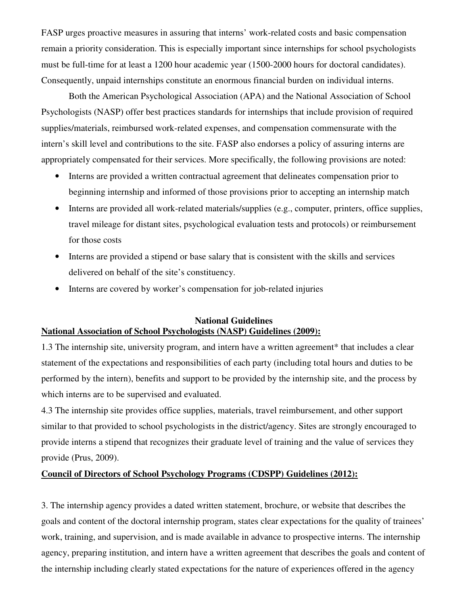FASP urges proactive measures in assuring that interns' work-related costs and basic compensation remain a priority consideration. This is especially important since internships for school psychologists must be full-time for at least a 1200 hour academic year (1500-2000 hours for doctoral candidates). Consequently, unpaid internships constitute an enormous financial burden on individual interns.

 Both the American Psychological Association (APA) and the National Association of School Psychologists (NASP) offer best practices standards for internships that include provision of required supplies/materials, reimbursed work-related expenses, and compensation commensurate with the intern's skill level and contributions to the site. FASP also endorses a policy of assuring interns are appropriately compensated for their services. More specifically, the following provisions are noted:

- Interns are provided a written contractual agreement that delineates compensation prior to beginning internship and informed of those provisions prior to accepting an internship match
- Interns are provided all work-related materials/supplies (e.g., computer, printers, office supplies, travel mileage for distant sites, psychological evaluation tests and protocols) or reimbursement for those costs
- Interns are provided a stipend or base salary that is consistent with the skills and services delivered on behalf of the site's constituency.
- Interns are covered by worker's compensation for job-related injuries

## **National Guidelines National Association of School Psychologists (NASP) Guidelines (2009):**

1.3 The internship site, university program, and intern have a written agreement\* that includes a clear statement of the expectations and responsibilities of each party (including total hours and duties to be performed by the intern), benefits and support to be provided by the internship site, and the process by which interns are to be supervised and evaluated.

4.3 The internship site provides office supplies, materials, travel reimbursement, and other support similar to that provided to school psychologists in the district/agency. Sites are strongly encouraged to provide interns a stipend that recognizes their graduate level of training and the value of services they provide (Prus, 2009).

# **Council of Directors of School Psychology Programs (CDSPP) Guidelines (2012):**

3. The internship agency provides a dated written statement, brochure, or website that describes the goals and content of the doctoral internship program, states clear expectations for the quality of trainees' work, training, and supervision, and is made available in advance to prospective interns. The internship agency, preparing institution, and intern have a written agreement that describes the goals and content of the internship including clearly stated expectations for the nature of experiences offered in the agency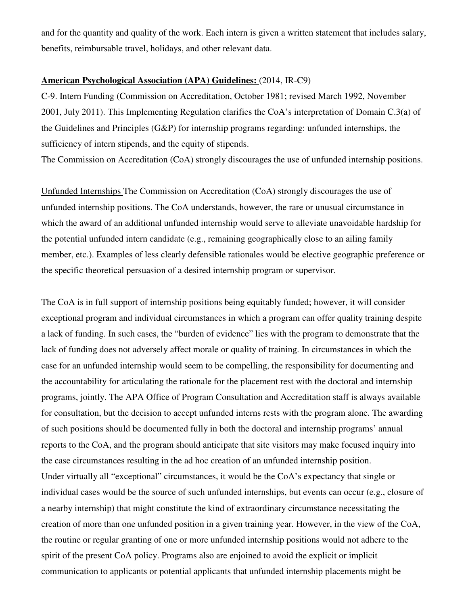and for the quantity and quality of the work. Each intern is given a written statement that includes salary, benefits, reimbursable travel, holidays, and other relevant data.

## **American Psychological Association (APA) Guidelines:** (2014, IR-C9)

C-9. Intern Funding (Commission on Accreditation, October 1981; revised March 1992, November 2001, July 2011). This Implementing Regulation clarifies the CoA's interpretation of Domain C.3(a) of the Guidelines and Principles (G&P) for internship programs regarding: unfunded internships, the sufficiency of intern stipends, and the equity of stipends.

The Commission on Accreditation (CoA) strongly discourages the use of unfunded internship positions.

Unfunded Internships The Commission on Accreditation (CoA) strongly discourages the use of unfunded internship positions. The CoA understands, however, the rare or unusual circumstance in which the award of an additional unfunded internship would serve to alleviate unavoidable hardship for the potential unfunded intern candidate (e.g., remaining geographically close to an ailing family member, etc.). Examples of less clearly defensible rationales would be elective geographic preference or the specific theoretical persuasion of a desired internship program or supervisor.

The CoA is in full support of internship positions being equitably funded; however, it will consider exceptional program and individual circumstances in which a program can offer quality training despite a lack of funding. In such cases, the "burden of evidence" lies with the program to demonstrate that the lack of funding does not adversely affect morale or quality of training. In circumstances in which the case for an unfunded internship would seem to be compelling, the responsibility for documenting and the accountability for articulating the rationale for the placement rest with the doctoral and internship programs, jointly. The APA Office of Program Consultation and Accreditation staff is always available for consultation, but the decision to accept unfunded interns rests with the program alone. The awarding of such positions should be documented fully in both the doctoral and internship programs' annual reports to the CoA, and the program should anticipate that site visitors may make focused inquiry into the case circumstances resulting in the ad hoc creation of an unfunded internship position. Under virtually all "exceptional" circumstances, it would be the CoA's expectancy that single or individual cases would be the source of such unfunded internships, but events can occur (e.g., closure of a nearby internship) that might constitute the kind of extraordinary circumstance necessitating the creation of more than one unfunded position in a given training year. However, in the view of the CoA, the routine or regular granting of one or more unfunded internship positions would not adhere to the spirit of the present CoA policy. Programs also are enjoined to avoid the explicit or implicit communication to applicants or potential applicants that unfunded internship placements might be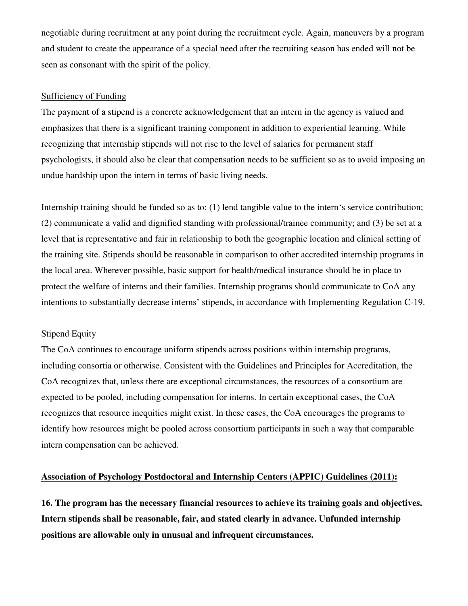negotiable during recruitment at any point during the recruitment cycle. Again, maneuvers by a program and student to create the appearance of a special need after the recruiting season has ended will not be seen as consonant with the spirit of the policy.

#### Sufficiency of Funding

The payment of a stipend is a concrete acknowledgement that an intern in the agency is valued and emphasizes that there is a significant training component in addition to experiential learning. While recognizing that internship stipends will not rise to the level of salaries for permanent staff psychologists, it should also be clear that compensation needs to be sufficient so as to avoid imposing an undue hardship upon the intern in terms of basic living needs.

Internship training should be funded so as to: (1) lend tangible value to the intern's service contribution; (2) communicate a valid and dignified standing with professional/trainee community; and (3) be set at a level that is representative and fair in relationship to both the geographic location and clinical setting of the training site. Stipends should be reasonable in comparison to other accredited internship programs in the local area. Wherever possible, basic support for health/medical insurance should be in place to protect the welfare of interns and their families. Internship programs should communicate to CoA any intentions to substantially decrease interns' stipends, in accordance with Implementing Regulation C-19.

#### Stipend Equity

The CoA continues to encourage uniform stipends across positions within internship programs, including consortia or otherwise. Consistent with the Guidelines and Principles for Accreditation, the CoA recognizes that, unless there are exceptional circumstances, the resources of a consortium are expected to be pooled, including compensation for interns. In certain exceptional cases, the CoA recognizes that resource inequities might exist. In these cases, the CoA encourages the programs to identify how resources might be pooled across consortium participants in such a way that comparable intern compensation can be achieved.

# **Association of Psychology Postdoctoral and Internship Centers (APPIC) Guidelines (2011):**

**16. The program has the necessary financial resources to achieve its training goals and objectives. Intern stipends shall be reasonable, fair, and stated clearly in advance. Unfunded internship positions are allowable only in unusual and infrequent circumstances.**